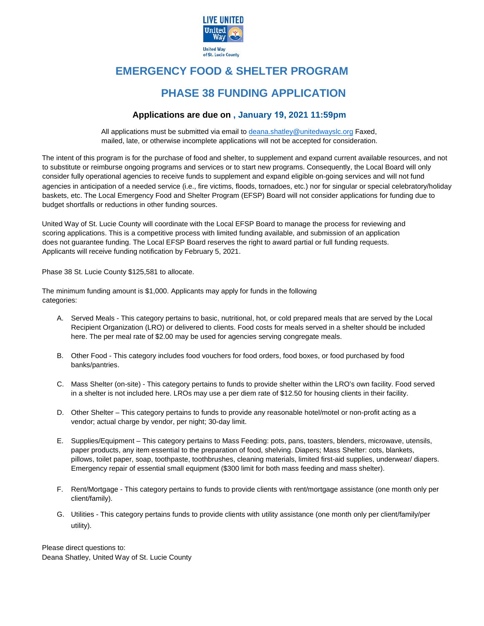

# **EMERGENCY FOOD & SHELTER PROGRAM**

## **PHASE 38 FUNDING APPLICATION**

#### **Applications are due on , January 19, 2021 11:59pm**

All applications must be submitted via email to deana.shatley@unitedwayslc.org Faxed, mailed, late, or otherwise incomplete applications will not be accepted for consideration.

The intent of this program is for the purchase of food and shelter, to supplement and expand current available resources, and not to substitute or reimburse ongoing programs and services or to start new programs. Consequently, the Local Board will only consider fully operational agencies to receive funds to supplement and expand eligible on‐going services and will not fund agencies in anticipation of a needed service (i.e., fire victims, floods, tornadoes, etc.) nor for singular or special celebratory/holiday baskets, etc. The Local Emergency Food and Shelter Program (EFSP) Board will not consider applications for funding due to budget shortfalls or reductions in other funding sources.

United Way of St. Lucie County will coordinate with the Local EFSP Board to manage the process for reviewing and scoring applications. This is a competitive process with limited funding available, and submission of an application does not guarantee funding. The Local EFSP Board reserves the right to award partial or full funding requests. Applicants will receive funding notification by February 5, 2021.

Phase 38 St. Lucie County \$125,581 to allocate.

The minimum funding amount is \$1,000. Applicants may apply for funds in the following categories:

- A. Served Meals This category pertains to basic, nutritional, hot, or cold prepared meals that are served by the Local Recipient Organization (LRO) or delivered to clients. Food costs for meals served in a shelter should be included here. The per meal rate of \$2.00 may be used for agencies serving congregate meals.
- B. Other Food This category includes food vouchers for food orders, food boxes, or food purchased by food banks/pantries.
- C. Mass Shelter (on-site) This category pertains to funds to provide shelter within the LRO's own facility. Food served in a shelter is not included here. LROs may use a per diem rate of \$12.50 for housing clients in their facility.
- D. Other Shelter This category pertains to funds to provide any reasonable hotel/motel or non-profit acting as a vendor; actual charge by vendor, per night; 30-day limit.
- E. Supplies/Equipment This category pertains to Mass Feeding: pots, pans, toasters, blenders, microwave, utensils, paper products, any item essential to the preparation of food, shelving. Diapers; Mass Shelter: cots, blankets, pillows, toilet paper, soap, toothpaste, toothbrushes, cleaning materials, limited first-aid supplies, underwear/ diapers. Emergency repair of essential small equipment (\$300 limit for both mass feeding and mass shelter).
- F. Rent/Mortgage This category pertains to funds to provide clients with rent/mortgage assistance (one month only per client/family).
- G. Utilities This category pertains funds to provide clients with utility assistance (one month only per client/family/per utility).

Please direct questions to: Deana Shatley, United Way of St. Lucie County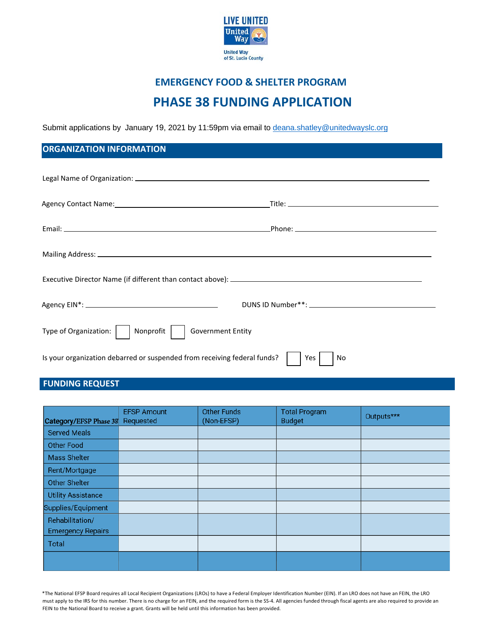

# **EMERGENCY FOOD & SHELTER PROGRAM PHASE 38 FUNDING APPLICATION**

Submit applications by January 19, 2021 by 11:59pm via email to deana.s[hatley@unitedwayslc.org](mailto:deana.shatley@unitedwayslc.org)

### **ORGANIZATION INFORMATION**

| <b>Government Entity</b><br>Type of Organization:<br>Nonprofit           |           |  |
|--------------------------------------------------------------------------|-----------|--|
| Is your organization debarred or suspended from receiving federal funds? | Yes<br>No |  |

## **FUNDING REQUEST**

| Category/EFSP Phase 38                      | <b>EFSP Amount</b><br>Requested | <b>Other Funds</b><br>(Non-EFSP) | <b>Total Program</b><br><b>Budget</b> | Outputs*** |
|---------------------------------------------|---------------------------------|----------------------------------|---------------------------------------|------------|
| <b>Served Meals</b>                         |                                 |                                  |                                       |            |
| <b>Other Food</b>                           |                                 |                                  |                                       |            |
| <b>Mass Shelter</b>                         |                                 |                                  |                                       |            |
| Rent/Mortgage                               |                                 |                                  |                                       |            |
| <b>Other Shelter</b>                        |                                 |                                  |                                       |            |
| <b>Utility Assistance</b>                   |                                 |                                  |                                       |            |
| Supplies/Equipment                          |                                 |                                  |                                       |            |
| Rehabilitation/<br><b>Emergency Repairs</b> |                                 |                                  |                                       |            |
| <b>Total</b>                                |                                 |                                  |                                       |            |
|                                             |                                 |                                  |                                       |            |

\*The National EFSP Board requires all Local Recipient Organizations (LROs) to have a Federal Employer Identification Number (EIN). If an LRO does not have an FEIN, the LRO must apply to the IRS for this number. There is no charge for an FEIN, and the required form is the SS-4. All agencies funded through fiscal agents are also required to provide an FEIN to the National Board to receive a grant. Grants will be held until this information has been provided.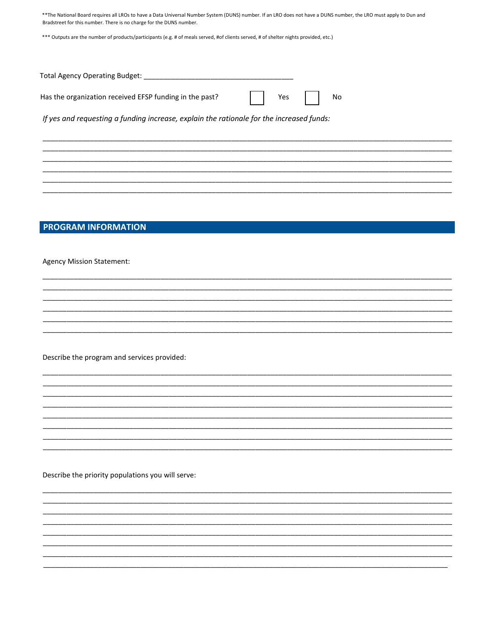\*\*The National Board requires all LROs to have a Data Universal Number System (DUNS) number. If an LRO does not have a DUNS number, the LRO must apply to Dun and Bradstreet for this number. There is no charge for the DUNS number.

\*\*\* Outputs are the number of products/participants (e.g. # of meals served, #of clients served, # of shelter nights provided, etc.)

| Total Agency Operating Budget:                          |          |  |
|---------------------------------------------------------|----------|--|
| Has the organization received EFSP funding in the past? | $Yes$ No |  |

If yes and requesting a funding increase, explain the rationale for the increased funds:

### **PROGRAM INFORMATION**

**Agency Mission Statement:** 

Describe the program and services provided:

Describe the priority populations you will serve: